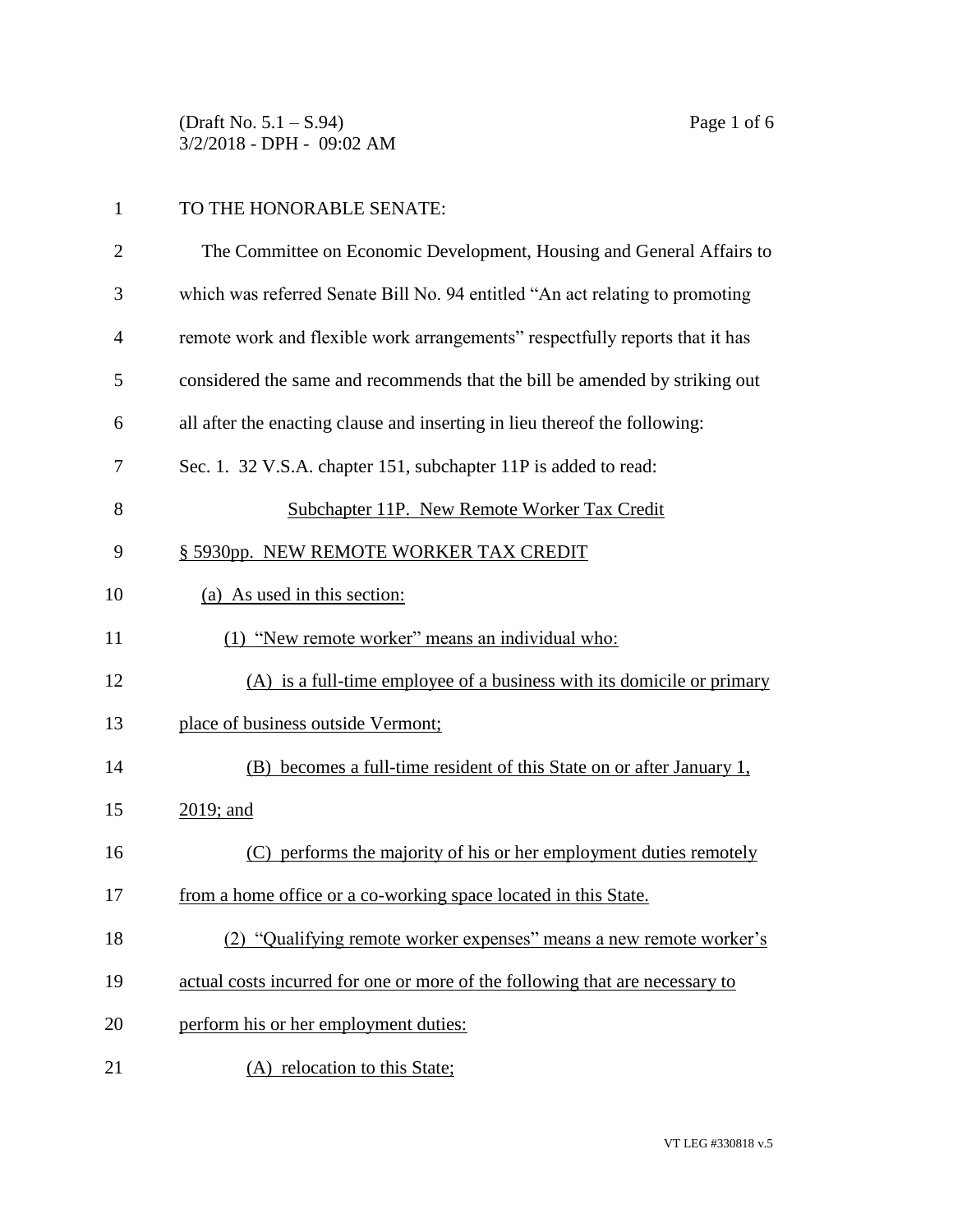(Draft No. 5.1 – S.94) Page 1 of 6 3/2/2018 - DPH - 09:02 AM

## TO THE HONORABLE SENATE:

| $\overline{2}$ | The Committee on Economic Development, Housing and General Affairs to        |
|----------------|------------------------------------------------------------------------------|
| 3              | which was referred Senate Bill No. 94 entitled "An act relating to promoting |
| $\overline{4}$ | remote work and flexible work arrangements" respectfully reports that it has |
| 5              | considered the same and recommends that the bill be amended by striking out  |
| 6              | all after the enacting clause and inserting in lieu thereof the following:   |
| 7              | Sec. 1. 32 V.S.A. chapter 151, subchapter 11P is added to read:              |
| 8              | Subchapter 11P. New Remote Worker Tax Credit                                 |
| 9              | § 5930pp. NEW REMOTE WORKER TAX CREDIT                                       |
| 10             | (a) As used in this section:                                                 |
| 11             | (1) "New remote worker" means an individual who:                             |
| 12             | (A) is a full-time employee of a business with its domicile or primary       |
| 13             | place of business outside Vermont;                                           |
| 14             | (B) becomes a full-time resident of this State on or after January 1,        |
| 15             | 2019; and                                                                    |
| 16             | performs the majority of his or her employment duties remotely<br>(C)        |
| 17             | from a home office or a co-working space located in this State.              |
| 18             | (2) "Qualifying remote worker expenses" means a new remote worker's          |
| 19             | actual costs incurred for one or more of the following that are necessary to |
| 20             | perform his or her employment duties:                                        |
| 21             | (A) relocation to this State;                                                |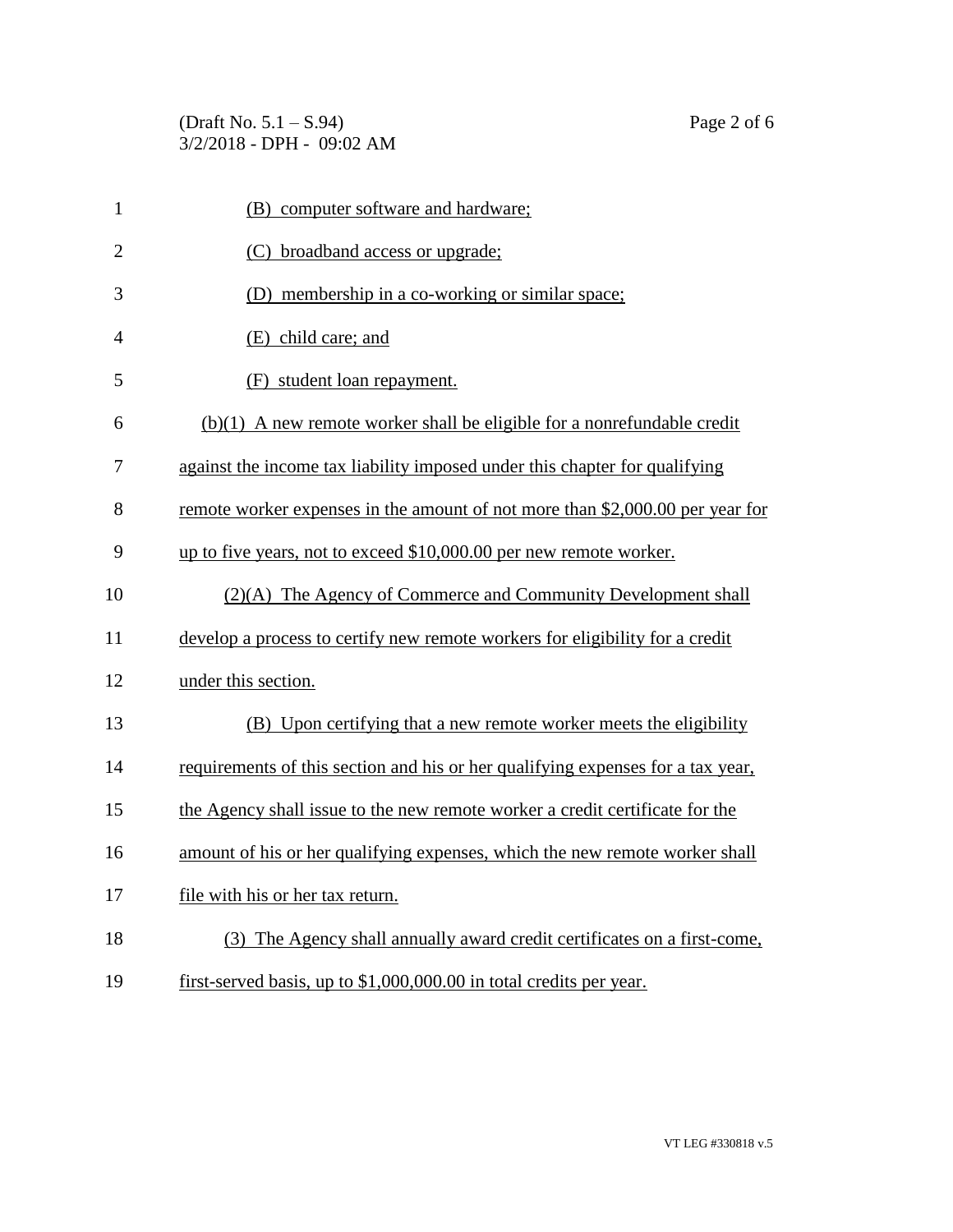(Draft No. 5.1 – S.94) Page 2 of 6 3/2/2018 - DPH - 09:02 AM

| $\mathbf{1}$   | (B) computer software and hardware;                                             |
|----------------|---------------------------------------------------------------------------------|
| $\overline{2}$ | (C) broadband access or upgrade;                                                |
| 3              | (D) membership in a co-working or similar space;                                |
| $\overline{4}$ | (E) child care; and                                                             |
| 5              | (F) student loan repayment.                                                     |
| 6              | $(b)(1)$ A new remote worker shall be eligible for a nonrefundable credit       |
| $\tau$         | against the income tax liability imposed under this chapter for qualifying      |
| 8              | remote worker expenses in the amount of not more than \$2,000.00 per year for   |
| 9              | up to five years, not to exceed \$10,000.00 per new remote worker.              |
| 10             | (2)(A) The Agency of Commerce and Community Development shall                   |
| 11             | develop a process to certify new remote workers for eligibility for a credit    |
| 12             | under this section.                                                             |
| 13             | (B) Upon certifying that a new remote worker meets the eligibility              |
| 14             | requirements of this section and his or her qualifying expenses for a tax year, |
| 15             | the Agency shall issue to the new remote worker a credit certificate for the    |
| 16             | amount of his or her qualifying expenses, which the new remote worker shall     |
| 17             | file with his or her tax return.                                                |
| 18             | (3) The Agency shall annually award credit certificates on a first-come,        |
| 19             | first-served basis, up to \$1,000,000.00 in total credits per year.             |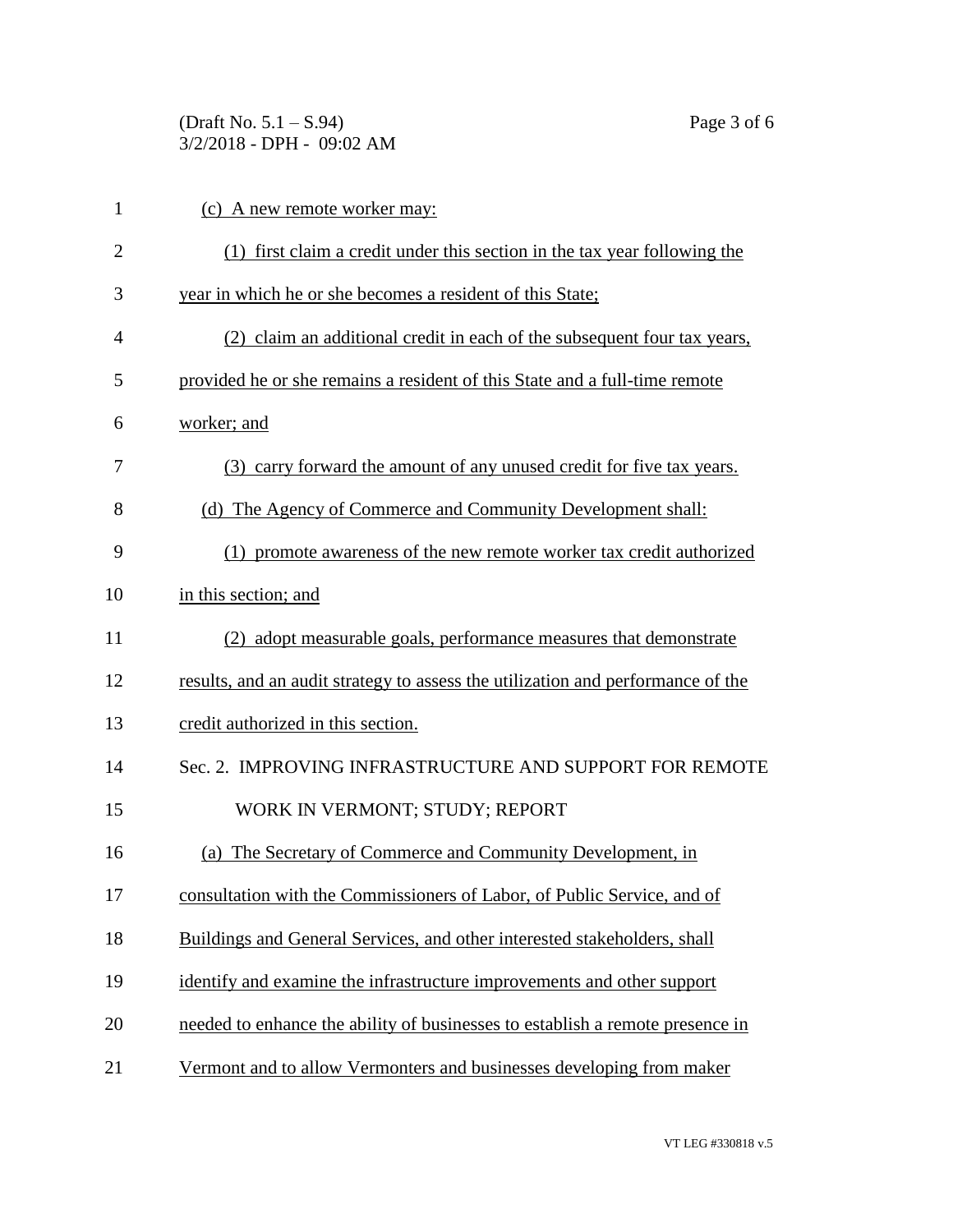(Draft No. 5.1 – S.94) Page 3 of 6 3/2/2018 - DPH - 09:02 AM

| $\mathbf{1}$ | (c) A new remote worker may:                                                    |
|--------------|---------------------------------------------------------------------------------|
| 2            | (1) first claim a credit under this section in the tax year following the       |
| 3            | year in which he or she becomes a resident of this State;                       |
| 4            | (2) claim an additional credit in each of the subsequent four tax years,        |
| 5            | provided he or she remains a resident of this State and a full-time remote      |
| 6            | worker; and                                                                     |
| 7            | (3) carry forward the amount of any unused credit for five tax years.           |
| 8            | (d) The Agency of Commerce and Community Development shall:                     |
| 9            | (1) promote awareness of the new remote worker tax credit authorized            |
| 10           | in this section; and                                                            |
| 11           | (2) adopt measurable goals, performance measures that demonstrate               |
| 12           | results, and an audit strategy to assess the utilization and performance of the |
| 13           | credit authorized in this section.                                              |
| 14           | Sec. 2. IMPROVING INFRASTRUCTURE AND SUPPORT FOR REMOTE                         |
| 15           | WORK IN VERMONT; STUDY; REPORT                                                  |
| 16           | The Secretary of Commerce and Community Development, in<br>(a)                  |
| 17           | consultation with the Commissioners of Labor, of Public Service, and of         |
| 18           | Buildings and General Services, and other interested stakeholders, shall        |
| 19           | identify and examine the infrastructure improvements and other support          |
| 20           | needed to enhance the ability of businesses to establish a remote presence in   |
| 21           | Vermont and to allow Vermonters and businesses developing from maker            |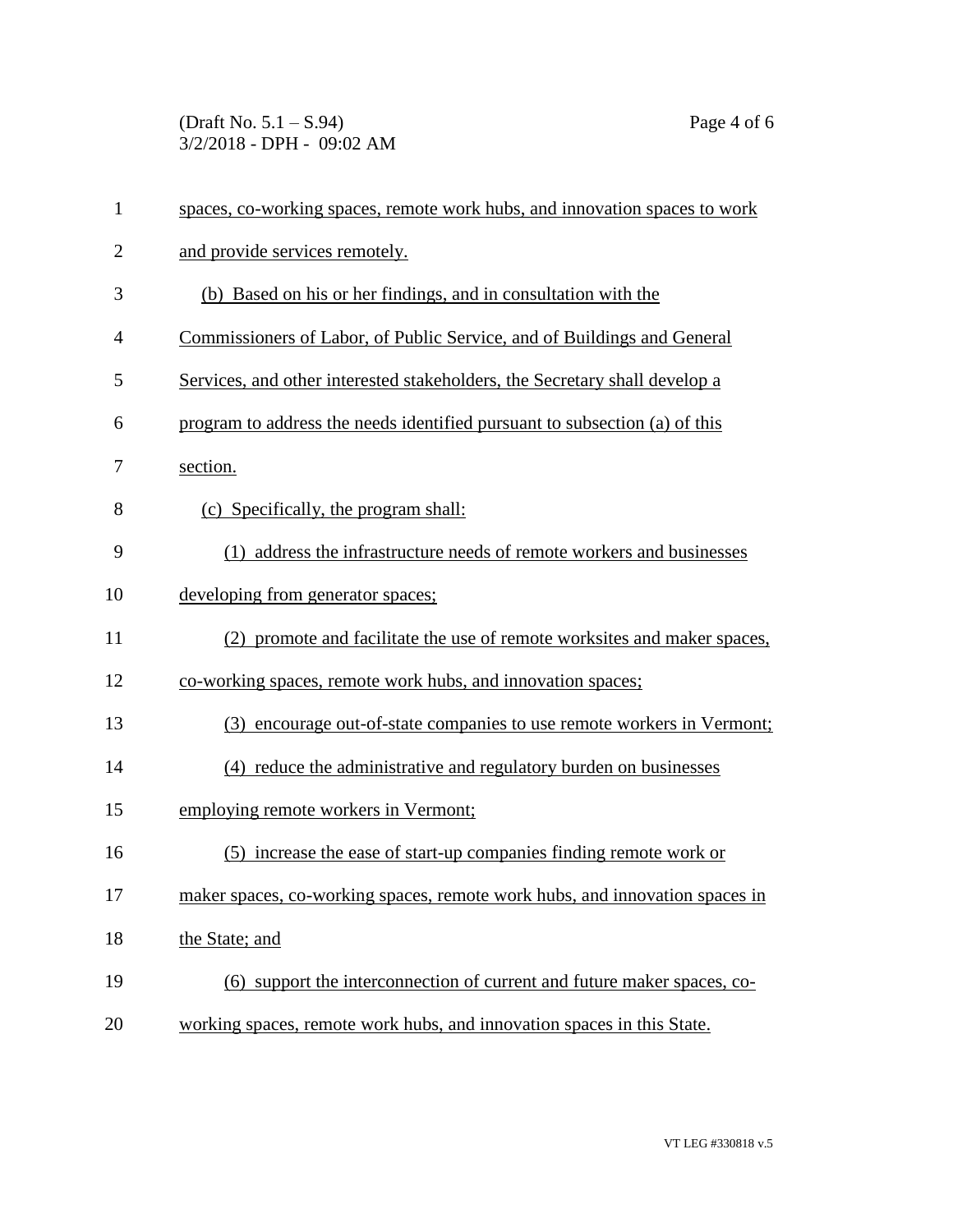(Draft No.  $5.1 - S.94$ ) Page 4 of 6 3/2/2018 - DPH - 09:02 AM

| $\mathbf{1}$   | spaces, co-working spaces, remote work hubs, and innovation spaces to work  |
|----------------|-----------------------------------------------------------------------------|
| $\overline{2}$ | and provide services remotely.                                              |
| 3              | (b) Based on his or her findings, and in consultation with the              |
| $\overline{4}$ | Commissioners of Labor, of Public Service, and of Buildings and General     |
| 5              | Services, and other interested stakeholders, the Secretary shall develop a  |
| 6              | program to address the needs identified pursuant to subsection (a) of this  |
| 7              | section.                                                                    |
| 8              | (c) Specifically, the program shall:                                        |
| 9              | (1) address the infrastructure needs of remote workers and businesses       |
| 10             | developing from generator spaces;                                           |
| 11             | (2) promote and facilitate the use of remote worksites and maker spaces,    |
| 12             | co-working spaces, remote work hubs, and innovation spaces;                 |
| 13             | (3) encourage out-of-state companies to use remote workers in Vermont;      |
| 14             | (4) reduce the administrative and regulatory burden on businesses           |
| 15             | employing remote workers in Vermont;                                        |
| 16             | (5) increase the ease of start-up companies finding remote work or          |
| 17             | maker spaces, co-working spaces, remote work hubs, and innovation spaces in |
| 18             | the State; and                                                              |
| 19             | (6) support the interconnection of current and future maker spaces, co-     |
| 20             | working spaces, remote work hubs, and innovation spaces in this State.      |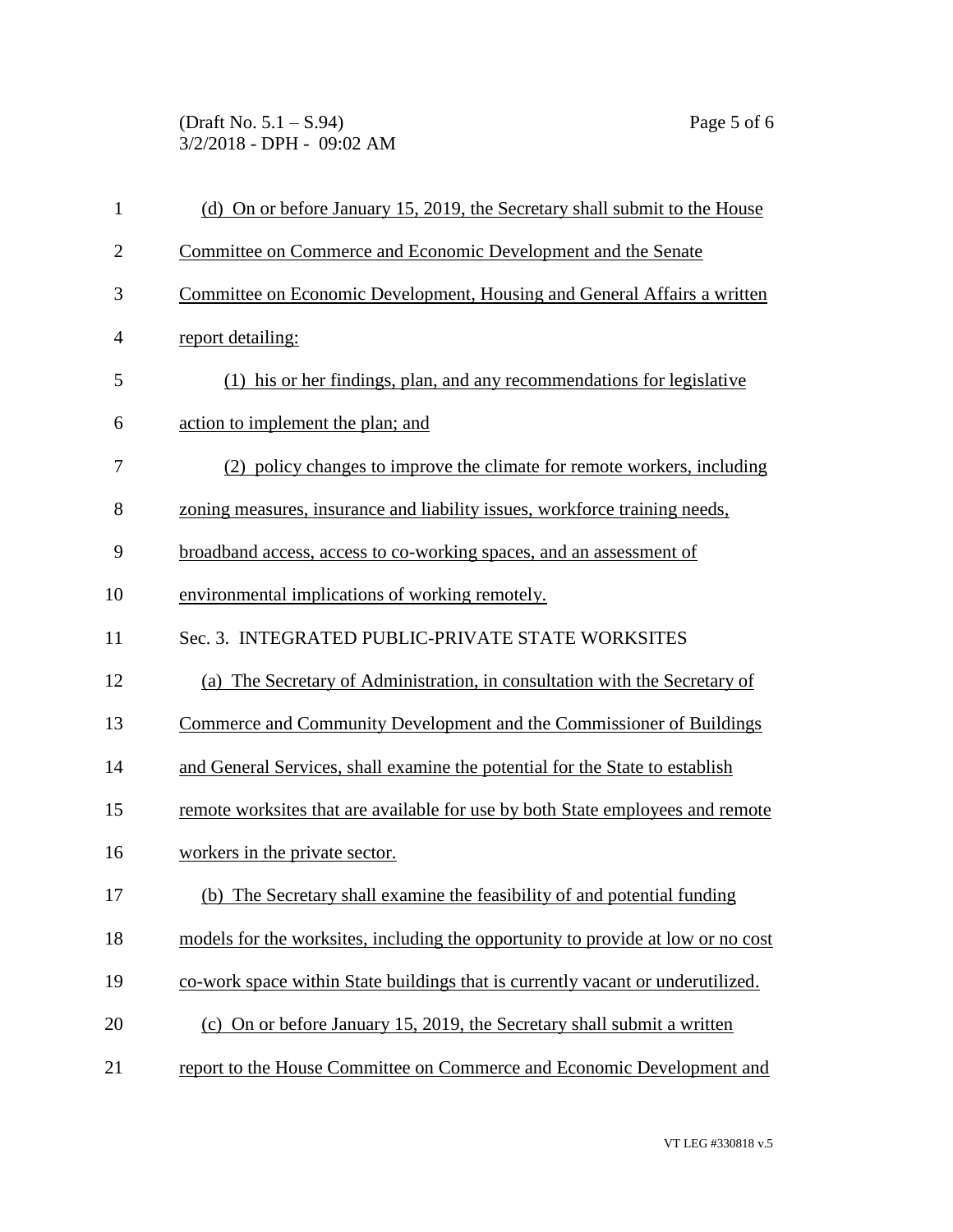(Draft No. 5.1 – S.94) Page 5 of 6 3/2/2018 - DPH - 09:02 AM

| $\mathbf{1}$   | (d) On or before January 15, 2019, the Secretary shall submit to the House       |
|----------------|----------------------------------------------------------------------------------|
| $\overline{2}$ | Committee on Commerce and Economic Development and the Senate                    |
| 3              | Committee on Economic Development, Housing and General Affairs a written         |
| 4              | report detailing:                                                                |
| 5              | (1) his or her findings, plan, and any recommendations for legislative           |
| 6              | action to implement the plan; and                                                |
| 7              | (2) policy changes to improve the climate for remote workers, including          |
| 8              | zoning measures, insurance and liability issues, workforce training needs,       |
| 9              | broadband access, access to co-working spaces, and an assessment of              |
| 10             | environmental implications of working remotely.                                  |
| 11             | Sec. 3. INTEGRATED PUBLIC-PRIVATE STATE WORKSITES                                |
| 12             | (a) The Secretary of Administration, in consultation with the Secretary of       |
| 13             | Commerce and Community Development and the Commissioner of Buildings             |
| 14             | and General Services, shall examine the potential for the State to establish     |
| 15             | remote worksites that are available for use by both State employees and remote   |
| 16             | workers in the private sector.                                                   |
| 17             | (b) The Secretary shall examine the feasibility of and potential funding         |
| 18             | models for the worksites, including the opportunity to provide at low or no cost |
| 19             | co-work space within State buildings that is currently vacant or underutilized.  |
| 20             | (c) On or before January 15, 2019, the Secretary shall submit a written          |
| 21             | report to the House Committee on Commerce and Economic Development and           |